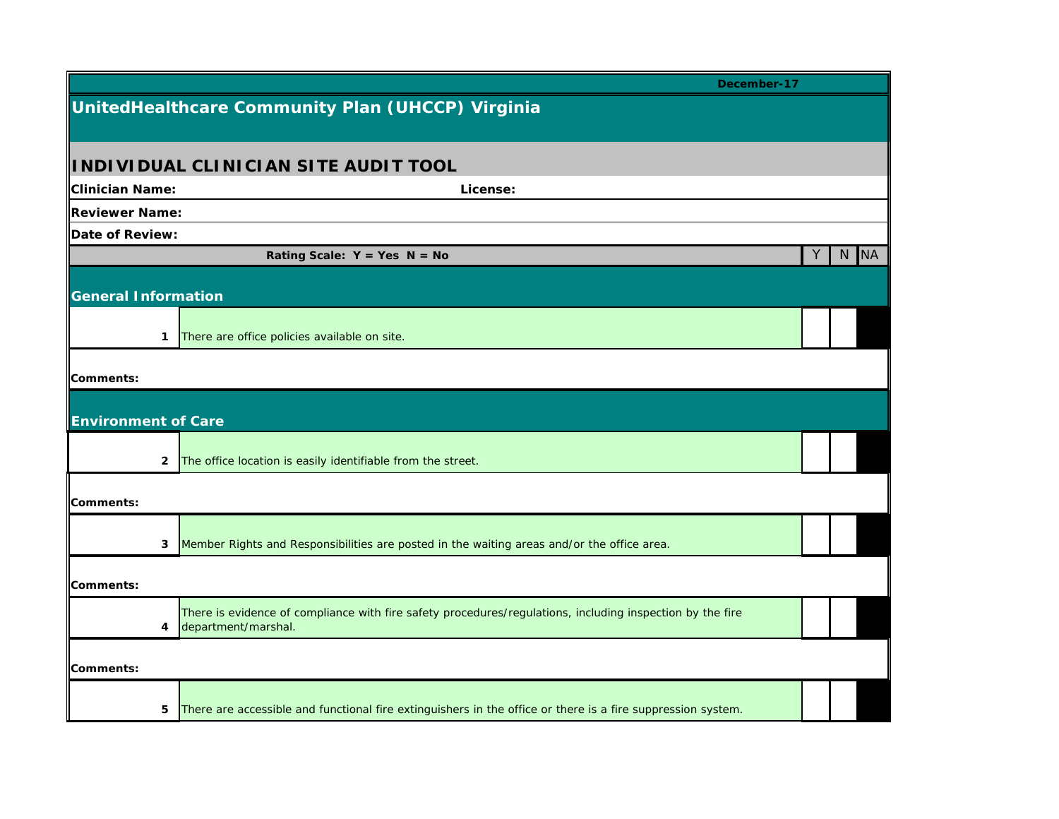|                            | December-17                                                                                                                      |   |      |
|----------------------------|----------------------------------------------------------------------------------------------------------------------------------|---|------|
|                            | UnitedHealthcare Community Plan (UHCCP) Virginia                                                                                 |   |      |
|                            |                                                                                                                                  |   |      |
|                            | INDIVIDUAL CLINICIAN SITE AUDIT TOOL                                                                                             |   |      |
| Clinician Name:            | License:                                                                                                                         |   |      |
| Reviewer Name:             |                                                                                                                                  |   |      |
| Date of Review:            |                                                                                                                                  |   |      |
|                            | Rating Scale: $Y = Yes \tN = No$                                                                                                 | Y | N NA |
|                            |                                                                                                                                  |   |      |
| <b>General Information</b> |                                                                                                                                  |   |      |
|                            |                                                                                                                                  |   |      |
| 1                          | There are office policies available on site.                                                                                     |   |      |
| Comments:                  |                                                                                                                                  |   |      |
|                            |                                                                                                                                  |   |      |
| <b>Environment of Care</b> |                                                                                                                                  |   |      |
|                            |                                                                                                                                  |   |      |
| $\mathbf{2}$               | The office location is easily identifiable from the street.                                                                      |   |      |
|                            |                                                                                                                                  |   |      |
| Comments:                  |                                                                                                                                  |   |      |
|                            |                                                                                                                                  |   |      |
| 3                          | Member Rights and Responsibilities are posted in the waiting areas and/or the office area.                                       |   |      |
| Comments:                  |                                                                                                                                  |   |      |
|                            |                                                                                                                                  |   |      |
| 4                          | There is evidence of compliance with fire safety procedures/regulations, including inspection by the fire<br>department/marshal. |   |      |
|                            |                                                                                                                                  |   |      |
| Comments:                  |                                                                                                                                  |   |      |
|                            |                                                                                                                                  |   |      |
| 5.                         | There are accessible and functional fire extinguishers in the office or there is a fire suppression system.                      |   |      |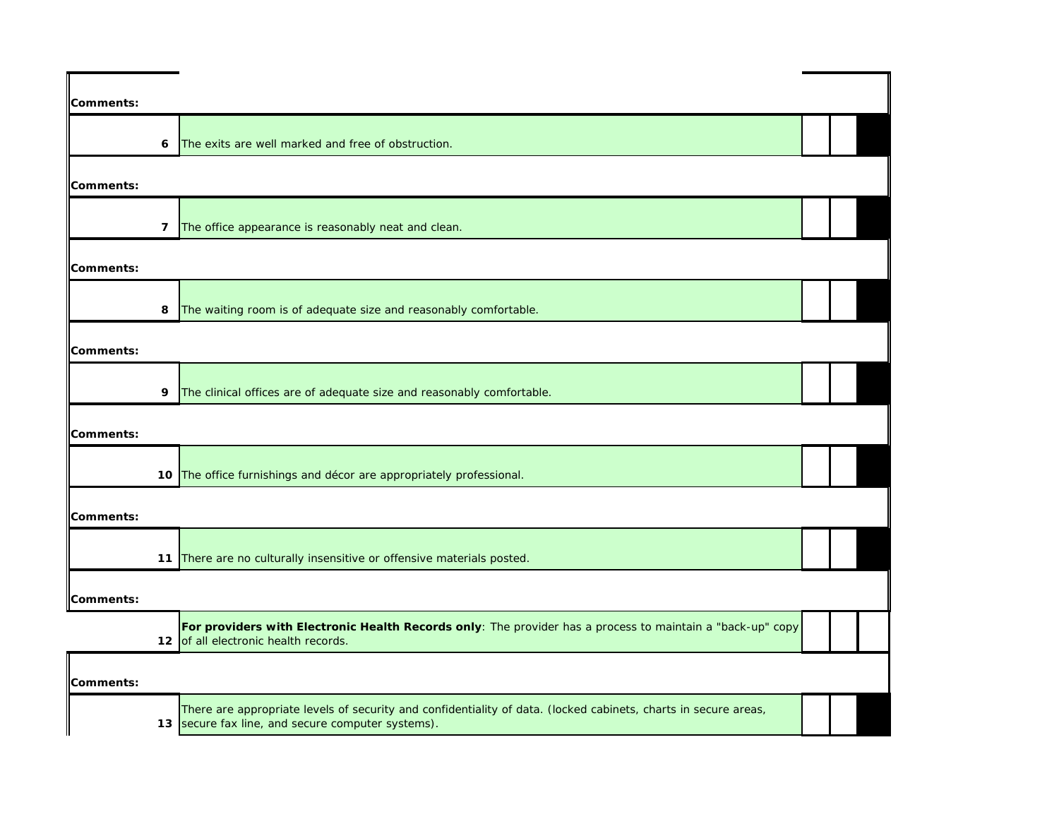| Comments:        |                                                                                                                                                                      |  |  |
|------------------|----------------------------------------------------------------------------------------------------------------------------------------------------------------------|--|--|
| 6                | The exits are well marked and free of obstruction.                                                                                                                   |  |  |
| Comments:        |                                                                                                                                                                      |  |  |
| 7                | The office appearance is reasonably neat and clean.                                                                                                                  |  |  |
| <b>Comments:</b> |                                                                                                                                                                      |  |  |
| 8                | The waiting room is of adequate size and reasonably comfortable.                                                                                                     |  |  |
| Comments:        |                                                                                                                                                                      |  |  |
| 9                | The clinical offices are of adequate size and reasonably comfortable.                                                                                                |  |  |
| Comments:        |                                                                                                                                                                      |  |  |
|                  | 10 The office furnishings and décor are appropriately professional.                                                                                                  |  |  |
| Comments:        |                                                                                                                                                                      |  |  |
|                  | 11 There are no culturally insensitive or offensive materials posted.                                                                                                |  |  |
| Comments:        |                                                                                                                                                                      |  |  |
|                  | For providers with Electronic Health Records only: The provider has a process to maintain a "back-up" copy<br>12 of all electronic health records.                   |  |  |
| Comments:        |                                                                                                                                                                      |  |  |
|                  | There are appropriate levels of security and confidentiality of data. (locked cabinets, charts in secure areas,<br>13 secure fax line, and secure computer systems). |  |  |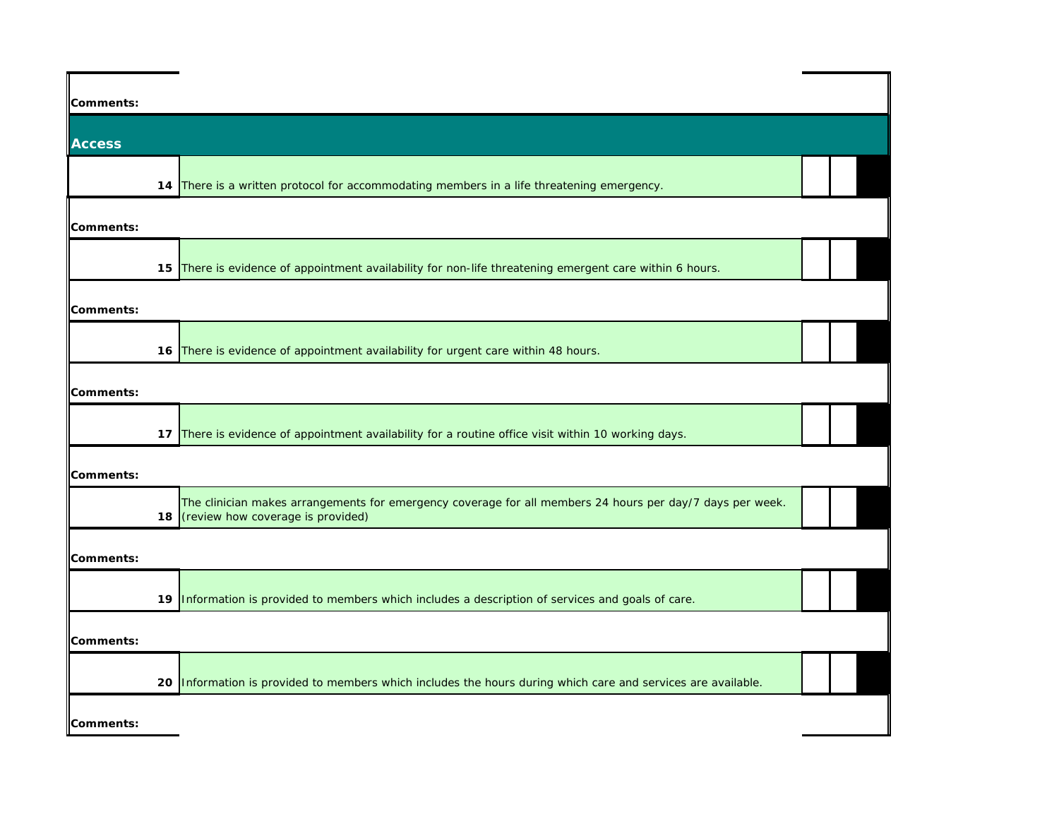| Comments:     |                                                                                                                                                |  |
|---------------|------------------------------------------------------------------------------------------------------------------------------------------------|--|
|               |                                                                                                                                                |  |
| <b>Access</b> |                                                                                                                                                |  |
|               | 14 There is a written protocol for accommodating members in a life threatening emergency.                                                      |  |
| Comments:     |                                                                                                                                                |  |
|               | 15 There is evidence of appointment availability for non-life threatening emergent care within 6 hours.                                        |  |
| Comments:     |                                                                                                                                                |  |
|               | 16 There is evidence of appointment availability for urgent care within 48 hours.                                                              |  |
| Comments:     |                                                                                                                                                |  |
|               | 17 There is evidence of appointment availability for a routine office visit within 10 working days.                                            |  |
| Comments:     |                                                                                                                                                |  |
| 18            | The clinician makes arrangements for emergency coverage for all members 24 hours per day/7 days per week.<br>(review how coverage is provided) |  |
| Comments:     |                                                                                                                                                |  |
|               | 19 Information is provided to members which includes a description of services and goals of care.                                              |  |
| Comments:     |                                                                                                                                                |  |
| 20            | Information is provided to members which includes the hours during which care and services are available.                                      |  |
| Comments:     |                                                                                                                                                |  |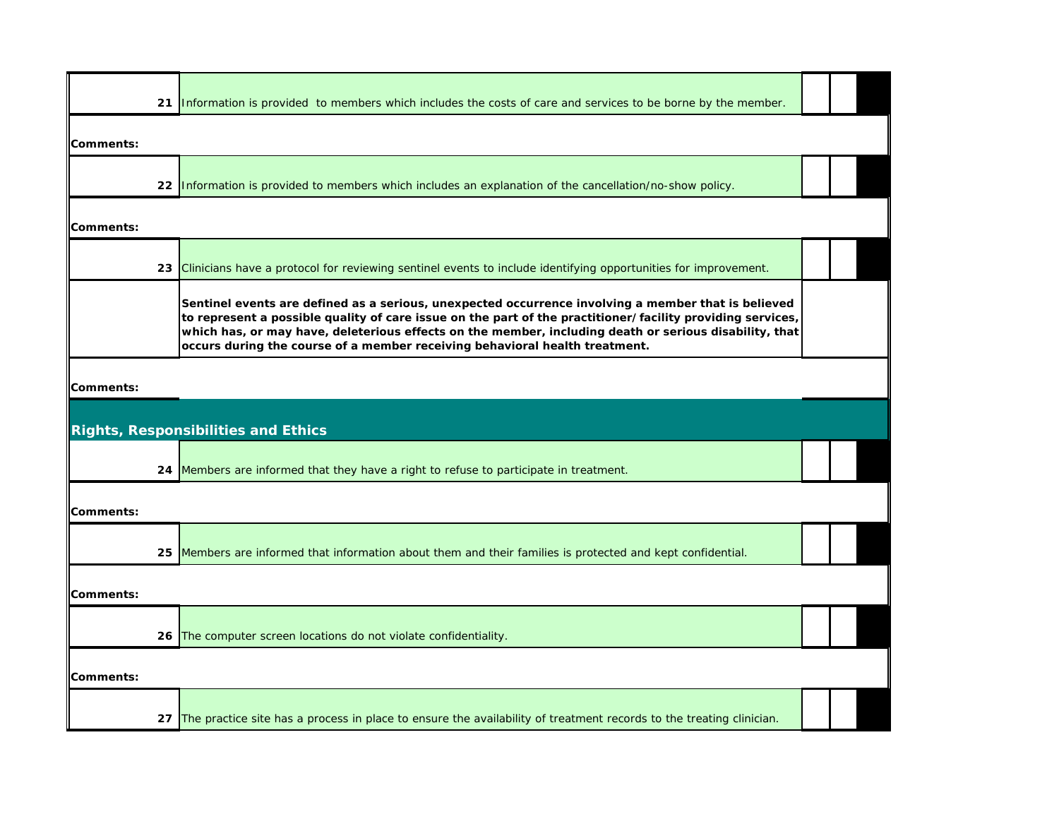| 21                | Information is provided to members which includes the costs of care and services to be borne by the member.                                                                                                                                                                                                                                                                                                |  |
|-------------------|------------------------------------------------------------------------------------------------------------------------------------------------------------------------------------------------------------------------------------------------------------------------------------------------------------------------------------------------------------------------------------------------------------|--|
| Comments:         |                                                                                                                                                                                                                                                                                                                                                                                                            |  |
|                   | 22 Information is provided to members which includes an explanation of the cancellation/no-show policy.                                                                                                                                                                                                                                                                                                    |  |
| Comments:         |                                                                                                                                                                                                                                                                                                                                                                                                            |  |
|                   | 23 Clinicians have a protocol for reviewing sentinel events to include identifying opportunities for improvement.                                                                                                                                                                                                                                                                                          |  |
|                   | Sentinel events are defined as a serious, unexpected occurrence involving a member that is believed<br>to represent a possible quality of care issue on the part of the practitioner/facility providing services,<br>which has, or may have, deleterious effects on the member, including death or serious disability, that<br>occurs during the course of a member receiving behavioral health treatment. |  |
| Comments:         |                                                                                                                                                                                                                                                                                                                                                                                                            |  |
|                   | <b>Rights, Responsibilities and Ethics</b>                                                                                                                                                                                                                                                                                                                                                                 |  |
|                   | 24 Members are informed that they have a right to refuse to participate in treatment.                                                                                                                                                                                                                                                                                                                      |  |
| <b>IComments:</b> |                                                                                                                                                                                                                                                                                                                                                                                                            |  |
| 25.               | Members are informed that information about them and their families is protected and kept confidential.                                                                                                                                                                                                                                                                                                    |  |
| Comments:         |                                                                                                                                                                                                                                                                                                                                                                                                            |  |
|                   | 26 The computer screen locations do not violate confidentiality.                                                                                                                                                                                                                                                                                                                                           |  |
| Comments:         |                                                                                                                                                                                                                                                                                                                                                                                                            |  |
|                   | 27 The practice site has a process in place to ensure the availability of treatment records to the treating clinician.                                                                                                                                                                                                                                                                                     |  |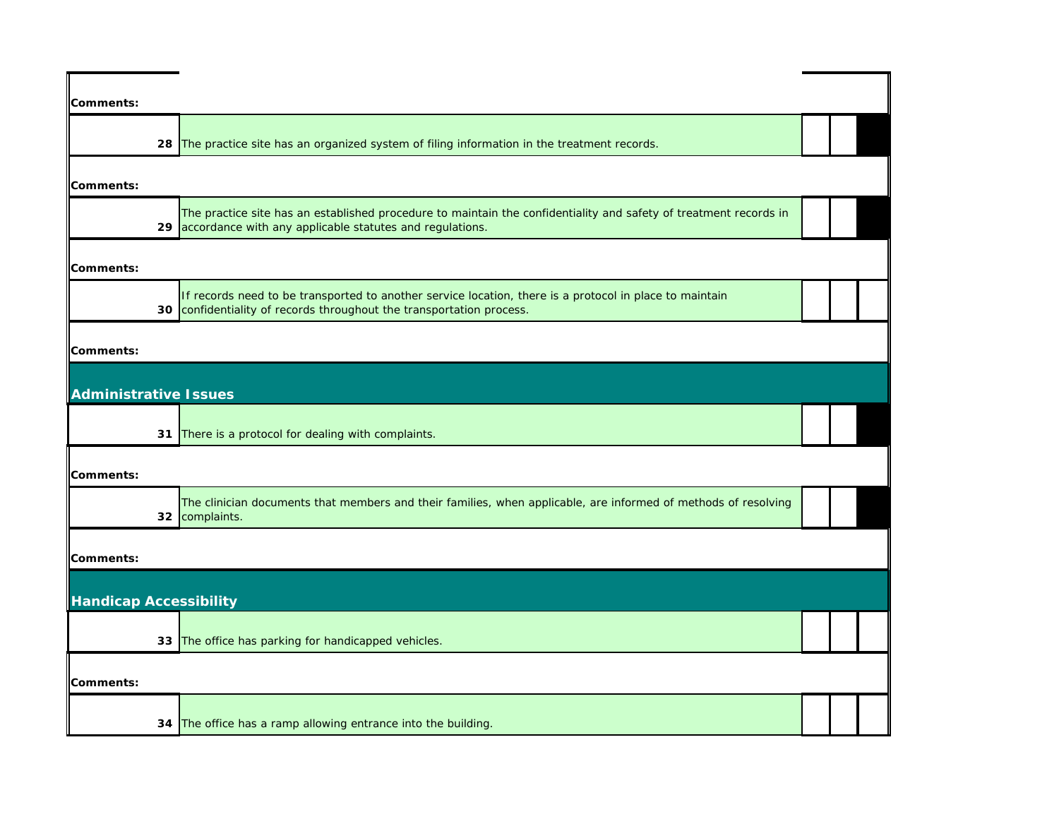| Comments:                     |                                                                                                                                                                                  |  |  |
|-------------------------------|----------------------------------------------------------------------------------------------------------------------------------------------------------------------------------|--|--|
|                               | 28 The practice site has an organized system of filing information in the treatment records.                                                                                     |  |  |
| <b>Comments:</b>              |                                                                                                                                                                                  |  |  |
|                               | The practice site has an established procedure to maintain the confidentiality and safety of treatment records in<br>29 accordance with any applicable statutes and regulations. |  |  |
| <b>Comments:</b>              |                                                                                                                                                                                  |  |  |
| 30                            | If records need to be transported to another service location, there is a protocol in place to maintain<br>confidentiality of records throughout the transportation process.     |  |  |
| <b>Comments:</b>              |                                                                                                                                                                                  |  |  |
| <b>Administrative Issues</b>  |                                                                                                                                                                                  |  |  |
|                               | 31 There is a protocol for dealing with complaints.                                                                                                                              |  |  |
| <b>Comments:</b>              |                                                                                                                                                                                  |  |  |
|                               | The clinician documents that members and their families, when applicable, are informed of methods of resolving<br>32 complaints.                                                 |  |  |
| <b>Comments:</b>              |                                                                                                                                                                                  |  |  |
| <b>Handicap Accessibility</b> |                                                                                                                                                                                  |  |  |
|                               | 33 The office has parking for handicapped vehicles.                                                                                                                              |  |  |
| <b>Comments:</b>              |                                                                                                                                                                                  |  |  |
|                               | 34 The office has a ramp allowing entrance into the building.                                                                                                                    |  |  |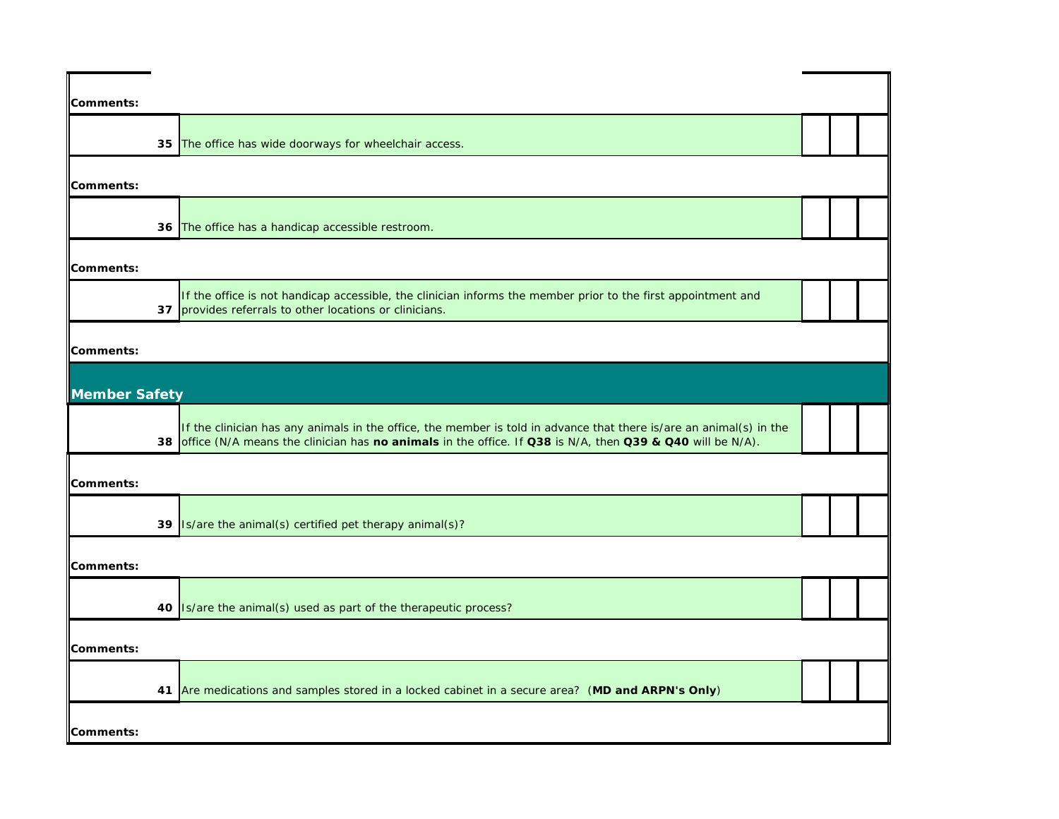| Comments:            |                                                                                                                                                                                                                                     |  |  |
|----------------------|-------------------------------------------------------------------------------------------------------------------------------------------------------------------------------------------------------------------------------------|--|--|
|                      | 35 The office has wide doorways for wheelchair access.                                                                                                                                                                              |  |  |
| Comments:            |                                                                                                                                                                                                                                     |  |  |
|                      | 36 The office has a handicap accessible restroom.                                                                                                                                                                                   |  |  |
| Comments:            |                                                                                                                                                                                                                                     |  |  |
| 37                   | If the office is not handicap accessible, the clinician informs the member prior to the first appointment and<br>provides referrals to other locations or clinicians.                                                               |  |  |
| Comments:            |                                                                                                                                                                                                                                     |  |  |
| <b>Member Safety</b> |                                                                                                                                                                                                                                     |  |  |
|                      | If the clinician has any animals in the office, the member is told in advance that there is/are an animal(s) in the<br>38 office (N/A means the clinician has no animals in the office. If Q38 is N/A, then Q39 & Q40 will be N/A). |  |  |
| Comments:            |                                                                                                                                                                                                                                     |  |  |
|                      | 39 Is/are the animal(s) certified pet therapy animal(s)?                                                                                                                                                                            |  |  |
| Comments:            |                                                                                                                                                                                                                                     |  |  |
|                      | 40 <b>Is/are the animal(s)</b> used as part of the therapeutic process?                                                                                                                                                             |  |  |
| Comments:            |                                                                                                                                                                                                                                     |  |  |
|                      | 41 Are medications and samples stored in a locked cabinet in a secure area? (MD and ARPN's Only)                                                                                                                                    |  |  |
| Comments:            |                                                                                                                                                                                                                                     |  |  |